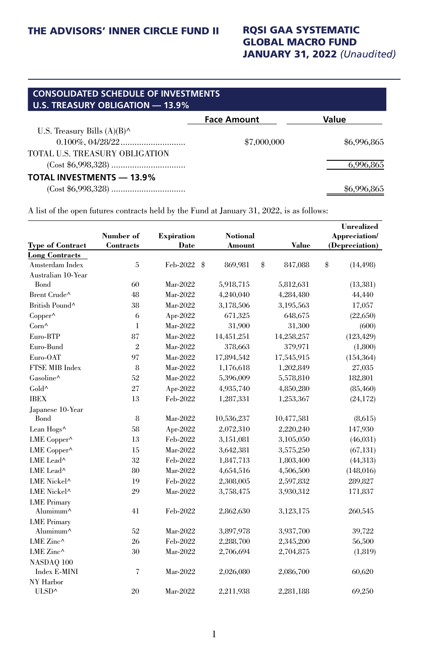#### GLOBAL MACRO FUND JANUARY 31, 2022 *(Unaudited)*

| <b>CONSOLIDATED SCHEDULE OF INVESTMENTS</b><br>U.S. TREASURY OBLIGATION - 13.9% |                    |             |
|---------------------------------------------------------------------------------|--------------------|-------------|
|                                                                                 | <b>Face Amount</b> | Value       |
| U.S. Treasury Bills $(A)(B)^{\wedge}$                                           |                    |             |
|                                                                                 | \$7,000,000        | \$6,996,865 |
| TOTAL U.S. TREASURY OBLIGATION                                                  |                    |             |
|                                                                                 |                    | 6.996.865   |
| <b>TOTAL INVESTMENTS - 13.9%</b>                                                |                    |             |
|                                                                                 |                    | \$6.996     |

A list of the open futures contracts held by the Fund at January 31, 2022, is as follows:

|                         | Number of                | <b>Expiration</b>         | <b>Notional</b> |               | <b>Unrealized</b><br>Appreciation/ |  |
|-------------------------|--------------------------|---------------------------|-----------------|---------------|------------------------------------|--|
| <b>Type of Contract</b> | Contracts                | Date                      | Amount          | Value         | (Depreciation)                     |  |
| <b>Long Contracts</b>   |                          |                           |                 |               |                                    |  |
| Amsterdam Index         | 5                        | Feb-2022<br>$\frac{a}{2}$ | 869,981         | \$<br>847,088 | \$<br>(14, 498)                    |  |
| Australian 10-Year      |                          |                           |                 |               |                                    |  |
| Bond                    | 60                       | Mar-2022                  | 5,918,715       | 5,812,631     | (13, 381)                          |  |
| Brent Crude^            | 48                       | Mar-2022                  | 4,240,040       | 4,284,480     | 44,440                             |  |
| British Pound^          | 38                       | Mar-2022                  | 3,178,506       | 3,195,563     | 17,057                             |  |
| $Copper^{\wedge}$       | 6                        | Apr-2022                  | 671,325         | 648,675       | (22, 650)                          |  |
| Corn^                   | $\mathbf{I}$             | Mar-2022                  | 31,900          | 31,300        | (600)                              |  |
| Euro-BTP                | 87                       | Mar-2022                  | 14,451,251      | 14,258,257    | (123, 429)                         |  |
| Euro-Bund               | $\overline{2}$           | Mar-2022                  | 378,663         | 379,971       | (1,800)                            |  |
| Euro-OAT                | 97                       | Mar-2022                  | 17,894,542      | 17,545,915    | (154, 364)                         |  |
| FTSE MIB Index          | 8                        | Mar-2022                  | 1,176,618       | 1,202,849     | 27,035                             |  |
| Gasoline^               | 52                       | Mar-2022                  | 5,396,009       | 5,578,810     | 182,801                            |  |
| Gold^                   | 27                       | Apr-2022                  | 4,935,740       | 4,850,280     | (85, 460)                          |  |
| <b>IBEX</b>             | 13                       | Feb-2022                  | 1,287,331       | 1,253,367     | (24, 172)                          |  |
| Japanese 10-Year        |                          |                           |                 |               |                                    |  |
| <b>Bond</b>             | 8                        | Mar-2022                  | 10,536,237      | 10,477,581    | (8.615)                            |  |
| Lean Hogs^              | 58                       | Apr-2022                  | 2,072,310       | 2,220,240     | 147,930                            |  |
| LME Copper^             | 13                       | Feb-2022                  | 3,151,081       | 3,105,050     | (46, 031)                          |  |
| LME Copper^             | 15                       | Mar-2022                  | 3,642,381       | 3,575,250     | (67, 131)                          |  |
| LME Lead^               | 32                       | Feb-2022                  | 1,847,713       | 1,803,400     | (44, 313)                          |  |
| LME Lead^               | 80                       | Mar-2022                  | 4,654,516       | 4,506,500     | (148,016)                          |  |
| LME Nickel <sup>^</sup> | 19                       | Feb-2022                  | 2,308,005       | 2,597,832     | 289,827                            |  |
| LME Nickel <sup>^</sup> | 29                       | Mar-2022                  | 3,758,475       | 3,930,312     | 171,837                            |  |
| <b>LME</b> Primary      |                          |                           |                 |               |                                    |  |
| Aluminum <sup>^</sup>   | 41                       | Feb-2022                  | 2,862,630       | 3,123,175     | 260,545                            |  |
| <b>LME</b> Primary      |                          |                           |                 |               |                                    |  |
| Aluminum <sup>^</sup>   | 52                       | Mar-2022                  | 3,897,978       | 3,937,700     | 39,722                             |  |
| LME Zinc $\wedge$       | 26                       | Feb-2022                  | 2,288,700       | 2,345,200     | 56,500                             |  |
| LME Zinc^               | 30                       | Mar-2022                  | 2,706,694       | 2,704,875     | (1, 819)                           |  |
| NASDAQ 100              |                          |                           |                 |               |                                    |  |
| <b>Index E-MINI</b>     | $\overline{\mathcal{L}}$ | Mar-2022                  | 2,026,080       | 2,086,700     | 60,620                             |  |
| NY Harbor               |                          |                           |                 |               |                                    |  |
| ULSD^                   | 20                       | Mar-2022                  | 2,211,938       | 2,281,188     | 69,250                             |  |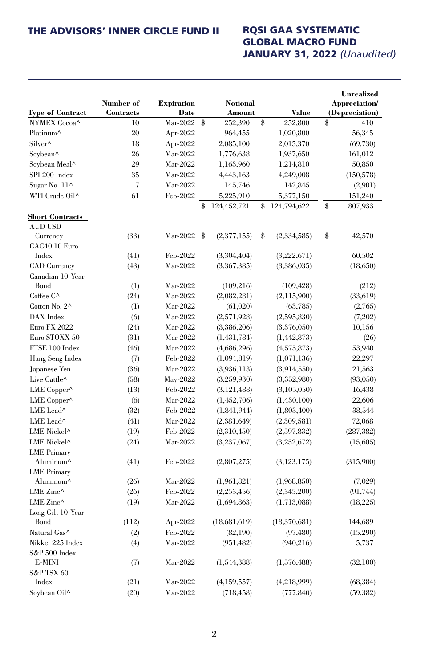### GLOBAL MACRO FUND JANUARY 31, 2022 *(Unaudited)*

|                         |                          |                   |      |                 |                     | <b>Unrealized</b> |
|-------------------------|--------------------------|-------------------|------|-----------------|---------------------|-------------------|
|                         | Number of                | <b>Expiration</b> |      | <b>Notional</b> |                     | Appreciation/     |
| <b>Type of Contract</b> | Contracts                | Date              |      | Amount          | Value               | (Depreciation)    |
| NYMEX Cocoa^            | 10                       | Mar-2022          | - \$ | 252,390         | \$<br>252,800       | \$<br>410         |
| Platinum <sup>^</sup>   | 20                       | Apr-2022          |      | 964,455         | 1,020,800           | 56,345            |
| Silver^                 | 18                       | Apr-2022          |      | 2,085,100       | 2,015,370           | (69, 730)         |
| Soybean^                | 26                       | Mar-2022          |      | 1,776,638       | 1,937,650           | 161,012           |
| Soybean Meal^           | 29                       | Mar-2022          |      | 1,163,960       | 1,214,810           | 50,850            |
| SPI 200 Index           | 35                       | Mar-2022          |      | 4,443,163       | 4,249,008           | (150, 578)        |
| Sugar No. 11^           | $\overline{\mathcal{U}}$ | Mar-2022          |      | 145,746         | 142,845             | (2,901)           |
| WTI Crude Oil^          | 61                       | Feb-2022          |      | 5,225,910       | 5,377,150           | 151,240           |
|                         |                          |                   | \$   | 124,452,721     | \$<br>124,794,622   | \$<br>807,933     |
| <b>Short Contracts</b>  |                          |                   |      |                 |                     |                   |
| <b>AUD USD</b>          |                          |                   |      |                 |                     |                   |
| Currency                | (33)                     | Mar-2022 \$       |      | (2,377,155)     | \$<br>(2, 334, 585) | \$<br>42,570      |
| CAC40 10 Euro           |                          |                   |      |                 |                     |                   |
| Index                   | (41)                     | Feb-2022          |      | (3,304,404)     | (3,222,671)         | 60,502            |
| <b>CAD</b> Currency     | (43)                     | Mar-2022          |      | (3,367,385)     | (3,386,035)         | (18,650)          |
| Canadian 10-Year        |                          |                   |      |                 |                     |                   |
| Bond                    | (1)                      | Mar-2022          |      | (109, 216)      | (109, 428)          | (212)             |
| Coffee C^               | (24)                     | Mar-2022          |      | (2,082,281)     | (2,115,900)         | (33, 619)         |
| Cotton No. 2^           | (1)                      | Mar-2022          |      | (61,020)        | (63, 785)           | (2,765)           |
| DAX Index               | (6)                      | Mar-2022          |      | (2,571,928)     | (2,595,830)         | (7,202)           |
| <b>Euro FX 2022</b>     | (24)                     | Mar-2022          |      | (3,386,206)     | (3,376,050)         | 10,156            |
| Euro STOXX 50           | (31)                     | Mar-2022          |      | (1,431,784)     | (1,442,873)         | (26)              |
| FTSE 100 Index          | (46)                     | Mar-2022          |      | (4,686,296)     | (4,575,873)         | 53,940            |
| Hang Seng Index         | (7)                      | Feb-2022          |      | (1,094,819)     | (1,071,136)         | 22,297            |
| Japanese Yen            | (36)                     | Mar-2022          |      | (3,936,113)     | (3,914,550)         | 21,563            |
| Live Cattle^            | (58)                     | May-2022          |      | (3,259,930)     | (3,352,980)         | (93,050)          |
| LME Copper^             | (13)                     | Feb-2022          |      | (3, 121, 488)   | (3,105,050)         | 16,438            |
| LME Copper^             | (6)                      | Mar-2022          |      | (1,452,706)     | (1,430,100)         | 22,606            |
| LME Lead^               | (32)                     | Feb-2022          |      | (1,841,944)     | (1,803,400)         | 38,544            |
| LME Lead^               | (41)                     | Mar-2022          |      | (2,381,649)     | (2,309,581)         | 72,068            |
| LME Nickel <sup>^</sup> | (19)                     | Feb-2022          |      | (2,310,450)     | (2,597,832)         | (287, 382)        |
| LME Nickel <sup>^</sup> | (24)                     | Mar-2022          |      | (3,237,067)     | (3,252,672)         | (15,605)          |
| <b>LME</b> Primary      |                          |                   |      |                 |                     |                   |
| Aluminum^               | (41)                     | Feb-2022          |      | (2,807,275)     | (3, 123, 175)       | (315,900)         |
| <b>LME</b> Primary      |                          |                   |      |                 |                     |                   |
| Aluminum <sup>^</sup>   | (26)                     | Mar-2022          |      | (1,961,821)     | (1,968,850)         | (7,029)           |
| LME Zinc $\wedge$       | (26)                     | Feb-2022          |      | (2,253,456)     | (2,345,200)         | (91, 744)         |
| LME Zinc^               | (19)                     | Mar-2022          |      | (1,694,863)     | (1,713,088)         | (18,225)          |
| Long Gilt 10-Year       |                          |                   |      |                 |                     |                   |
| <b>Bond</b>             | (112)                    | Apr-2022          |      | (18,681,619)    | (18,370,681)        | 144,689           |
| Natural Gas^            | (2)                      | Feb-2022          |      | (82, 190)       | (97, 480)           | (15,290)          |
| Nikkei 225 Index        | (4)                      | Mar-2022          |      | (951, 482)      | (940,216)           | 5,737             |
| $S&P500$ Index          |                          |                   |      |                 |                     |                   |
| E-MINI                  | (7)                      | Mar-2022          |      | (1,544,388)     | (1,576,488)         | (32,100)          |
| S&P TSX 60              |                          |                   |      |                 |                     |                   |
| Index                   | (21)                     | Mar-2022          |      | (4,159,557)     | (4,218,999)         | (68, 384)         |
| Sovbean Oil^            | (20)                     | Mar-2022          |      | (718, 458)      | (777, 840)          | (59, 382)         |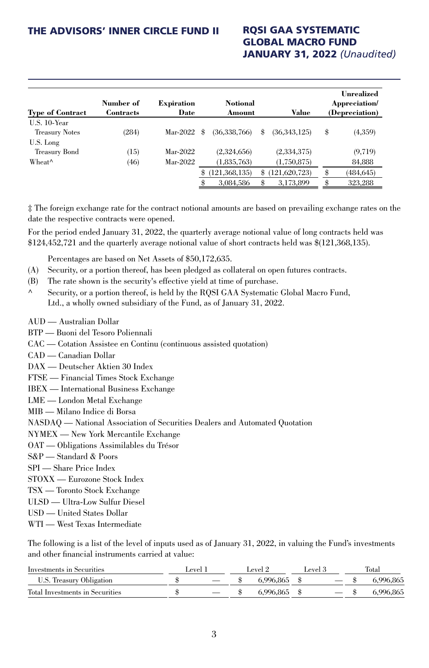# GLOBAL MACRO FUND JANUARY 31, 2022 *(Unaudited)*

| <b>Type of Contract</b>                               | Number of<br>Contracts | <b>Expiration</b><br>Date | <b>Notional</b><br>Amount |    | Value        | Unrealized<br>Appreciation/<br>(Depreciation) |
|-------------------------------------------------------|------------------------|---------------------------|---------------------------|----|--------------|-----------------------------------------------|
| $U.S. 10$ -Year<br><b>Treasury Notes</b><br>U.S. Long | (284)                  | Mar-2022 $$$              | (36,338,766)              | \$ | (36,343,125) | \$<br>(4,359)                                 |
| Treasury Bond                                         | (15)                   | Mar-2022                  | (2,324,656)               |    | (2,334,375)  | (9, 719)                                      |
| Wheat <sup>^</sup>                                    | (46)                   | Mar-2022                  | (1,835,763)               |    | (1,750,875)  | 84,888                                        |
|                                                       |                        |                           | \$<br>121,368,135)        | S  | 121,620,723) | \$<br>(484, 645)                              |
|                                                       |                        |                           | 3,084,586                 |    | 3,173,899    | 323,288                                       |

‡ The foreign exchange rate for the contract notional amounts are based on prevailing exchange rates on the date the respective contracts were opened.

For the period ended January 31, 2022, the quarterly average notional value of long contracts held was \$124,452,721 and the quarterly average notional value of short contracts held was \$(121,368,135).

Percentages are based on Net Assets of \$50,172,635.

- (A) Security, or a portion thereof, has been pledged as collateral on open futures contracts.
- (B) The rate shown is the security's effective yield at time of purchase.
- Security, or a portion thereof, is held by the RQSI GAA Systematic Global Macro Fund, Ltd., a wholly owned subsidiary of the Fund, as of January 31, 2022.
- AUD Australian Dollar
- BTP Buoni del Tesoro Poliennali
- CAC Cotation Assistee en Continu (continuous assisted quotation)
- CAD Canadian Dollar
- DAX Deutscher Aktien 30 Index
- FTSE Financial Times Stock Exchange
- IBEX International Business Exchange
- LME London Metal Exchange
- MIB Milano Indice di Borsa
- NASDAQ National Association of Securities Dealers and Automated Quotation
- NYMEX New York Mercantile Exchange
- OAT Obligations Assimilables du Trésor
- S&P Standard & Poors
- SPI Share Price Index
- STOXX Eurozone Stock Index
- TSX Toronto Stock Exchange
- ULSD Ultra-Low Sulfur Diesel
- USD United States Dollar
- WTI West Texas Intermediate

The following is a list of the level of inputs used as of January 31, 2022, in valuing the Fund's investments and other financial instruments carried at value:

| Investments in Securities       | l evel. |                          | Level 2 |                | devel 5 |  | Total    |
|---------------------------------|---------|--------------------------|---------|----------------|---------|--|----------|
| U.S. Treasury Obligation        |         | $\overline{\phantom{a}}$ |         | 6.996.865 \$   |         |  | .996.865 |
| Total Investments in Securities |         |                          |         | $6.996.865$ \$ |         |  | .996.865 |